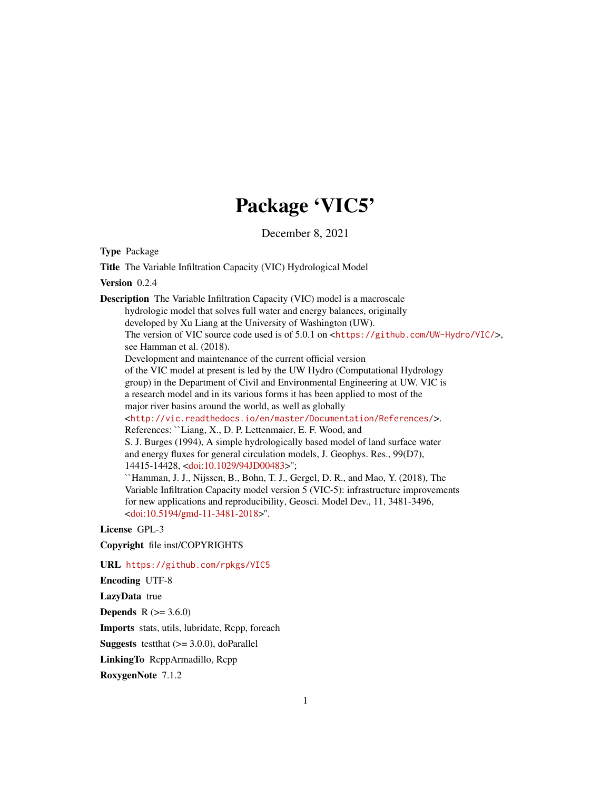## Package 'VIC5'

December 8, 2021

Type Package

Title The Variable Infiltration Capacity (VIC) Hydrological Model

Version 0.2.4

Description The Variable Infiltration Capacity (VIC) model is a macroscale hydrologic model that solves full water and energy balances, originally developed by Xu Liang at the University of Washington (UW). The version of VIC source code used is of 5.0.1 on <<https://github.com/UW-Hydro/VIC/>>, see Hamman et al. (2018). Development and maintenance of the current official version of the VIC model at present is led by the UW Hydro (Computational Hydrology group) in the Department of Civil and Environmental Engineering at UW. VIC is a research model and in its various forms it has been applied to most of the major river basins around the world, as well as globally <<http://vic.readthedocs.io/en/master/Documentation/References/>>. References: ``Liang, X., D. P. Lettenmaier, E. F. Wood, and S. J. Burges (1994), A simple hydrologically based model of land surface water and energy fluxes for general circulation models, J. Geophys. Res., 99(D7), 14415-14428, [<doi:10.1029/94JD00483>](https://doi.org/10.1029/94JD00483)''; ``Hamman, J. J., Nijssen, B., Bohn, T. J., Gergel, D. R., and Mao, Y. (2018), The Variable Infiltration Capacity model version 5 (VIC-5): infrastructure improvements for new applications and reproducibility, Geosci. Model Dev., 11, 3481-3496, [<doi:10.5194/gmd-11-3481-2018>](https://doi.org/10.5194/gmd-11-3481-2018)''.

License GPL-3

Copyright file inst/COPYRIGHTS

URL <https://github.com/rpkgs/VIC5>

Encoding UTF-8

LazyData true

**Depends** R  $(>= 3.6.0)$ 

Imports stats, utils, lubridate, Rcpp, foreach

**Suggests** test that  $(>= 3.0.0)$ , do Parallel

LinkingTo RcppArmadillo, Rcpp

RoxygenNote 7.1.2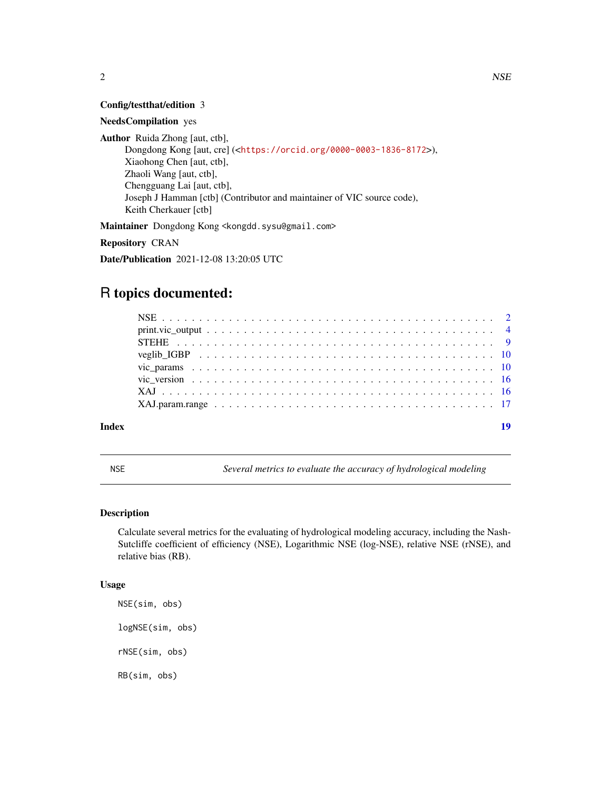<span id="page-1-0"></span>

#### Config/testthat/edition 3

#### NeedsCompilation yes

Author Ruida Zhong [aut, ctb], Dongdong Kong [aut, cre] (<<https://orcid.org/0000-0003-1836-8172>>), Xiaohong Chen [aut, ctb], Zhaoli Wang [aut, ctb], Chengguang Lai [aut, ctb], Joseph J Hamman [ctb] (Contributor and maintainer of VIC source code), Keith Cherkauer [ctb]

Maintainer Dongdong Kong <kongdd.sysu@gmail.com>

Repository CRAN

Date/Publication 2021-12-08 13:20:05 UTC

### R topics documented:

| Index |  |
|-------|--|

NSE *Several metrics to evaluate the accuracy of hydrological modeling*

#### Description

Calculate several metrics for the evaluating of hydrological modeling accuracy, including the Nash-Sutcliffe coefficient of efficiency (NSE), Logarithmic NSE (log-NSE), relative NSE (rNSE), and relative bias (RB).

#### Usage

NSE(sim, obs) logNSE(sim, obs) rNSE(sim, obs) RB(sim, obs)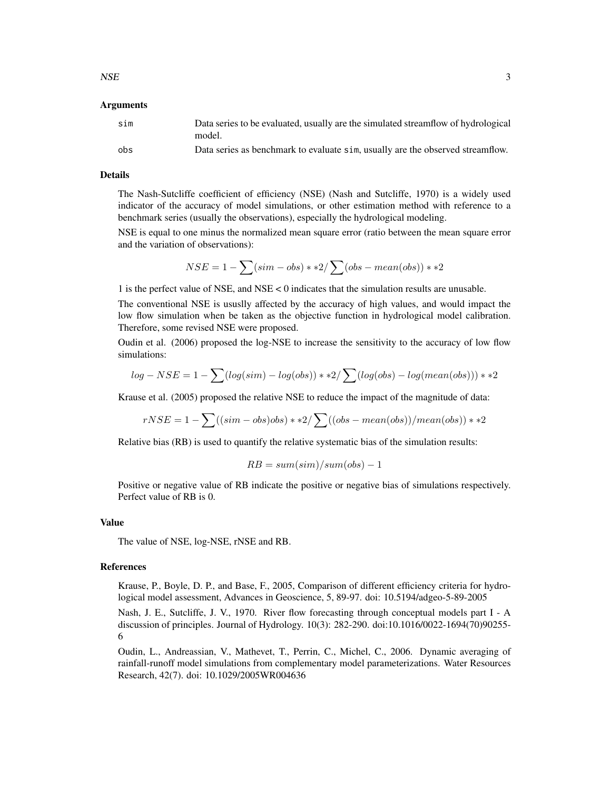#### Arguments

| sim | Data series to be evaluated, usually are the simulated streamflow of hydrological<br>model. |
|-----|---------------------------------------------------------------------------------------------|
| obs | Data series as benchmark to evaluate sim, usually are the observed streamflow.              |

#### Details

The Nash-Sutcliffe coefficient of efficiency (NSE) (Nash and Sutcliffe, 1970) is a widely used indicator of the accuracy of model simulations, or other estimation method with reference to a benchmark series (usually the observations), especially the hydrological modeling.

NSE is equal to one minus the normalized mean square error (ratio between the mean square error and the variation of observations):

$$
NSE = 1 - \sum (sim - obs) * *2 / \sum (obs - mean (obs)) * *2
$$

1 is the perfect value of NSE, and NSE < 0 indicates that the simulation results are unusable.

The conventional NSE is ususlly affected by the accuracy of high values, and would impact the low flow simulation when be taken as the objective function in hydrological model calibration. Therefore, some revised NSE were proposed.

Oudin et al. (2006) proposed the log-NSE to increase the sensitivity to the accuracy of low flow simulations:

$$
log - NSE = 1 - \sum (log(sim) - log(obs)) * *2 / \sum (log(obs) - log(mean(obs))) * *2
$$

Krause et al. (2005) proposed the relative NSE to reduce the impact of the magnitude of data:

$$
rNSE = 1 - \sum ((sim - obs)obs) * *2 / \sum ((obs - mean (obs)) / mean (obs)) * *2
$$

Relative bias (RB) is used to quantify the relative systematic bias of the simulation results:

$$
RB = sum(\text{sim})/sum(\text{obs}) - 1
$$

Positive or negative value of RB indicate the positive or negative bias of simulations respectively. Perfect value of RB is 0.

#### Value

The value of NSE, log-NSE, rNSE and RB.

#### References

Krause, P., Boyle, D. P., and Base, F., 2005, Comparison of different efficiency criteria for hydrological model assessment, Advances in Geoscience, 5, 89-97. doi: 10.5194/adgeo-5-89-2005

Nash, J. E., Sutcliffe, J. V., 1970. River flow forecasting through conceptual models part I - A discussion of principles. Journal of Hydrology. 10(3): 282-290. doi:10.1016/0022-1694(70)90255- 6

Oudin, L., Andreassian, V., Mathevet, T., Perrin, C., Michel, C., 2006. Dynamic averaging of rainfall-runoff model simulations from complementary model parameterizations. Water Resources Research, 42(7). doi: 10.1029/2005WR004636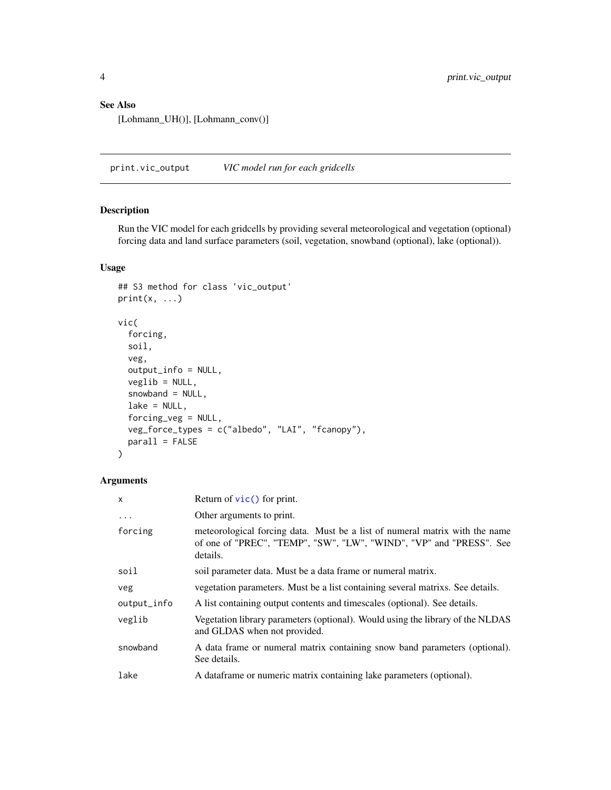#### <span id="page-3-0"></span>See Also

[Lohmann\_UH()], [Lohmann\_conv()]

print.vic\_output *VIC model run for each gridcells*

#### <span id="page-3-1"></span>Description

Run the VIC model for each gridcells by providing several meteorological and vegetation (optional) forcing data and land surface parameters (soil, vegetation, snowband (optional), lake (optional)).

#### Usage

```
## S3 method for class 'vic_output'
print(x, \ldots)vic(
  forcing,
  soil,
  veg,
  output_info = NULL,
  veglib = NULL,
  snowband = NULL,
 lake = NULL,
  forcing_veg = NULL,
  veg_force_types = c("albedo", "LAI", "fcanopy"),
  parallel = FALSE)
```
#### Arguments

| x           | Return of $\vec{v}$ (c) for print.                                                                                                                             |
|-------------|----------------------------------------------------------------------------------------------------------------------------------------------------------------|
| $\ddots$    | Other arguments to print.                                                                                                                                      |
| forcing     | meteorological forcing data. Must be a list of numeral matrix with the name<br>of one of "PREC", "TEMP", "SW", "LW", "WIND", "VP" and "PRESS". See<br>details. |
| soil        | soil parameter data. Must be a data frame or numeral matrix.                                                                                                   |
| veg         | vegetation parameters. Must be a list containing several matrixs. See details.                                                                                 |
| output_info | A list containing output contents and timescales (optional). See details.                                                                                      |
| veglib      | Vegetation library parameters (optional). Would using the library of the NLDAS<br>and GLDAS when not provided.                                                 |
| snowband    | A data frame or numeral matrix containing snow band parameters (optional).<br>See details.                                                                     |
| lake        | A data frame or numeric matrix containing lake parameters (optional).                                                                                          |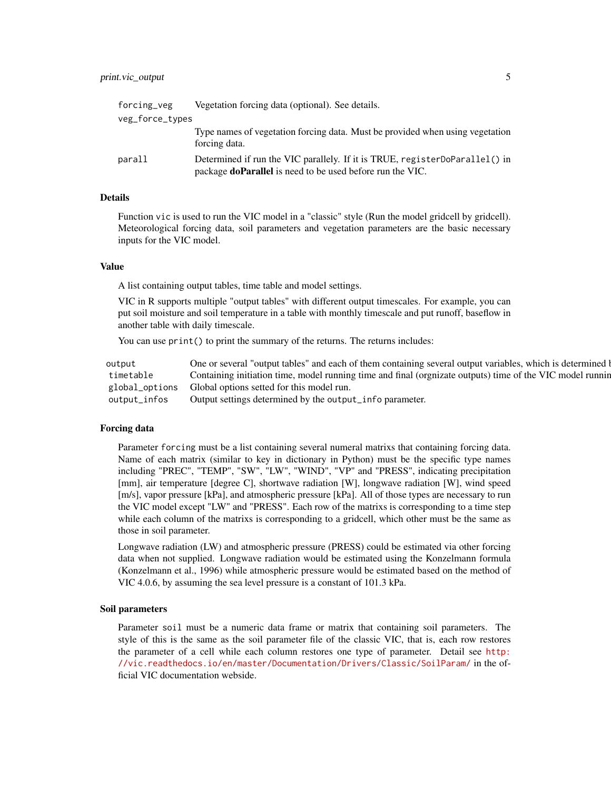#### print.vic\_output 5

| forcing_veg     | Vegetation forcing data (optional). See details.                                                                                                |
|-----------------|-------------------------------------------------------------------------------------------------------------------------------------------------|
| veg_force_types |                                                                                                                                                 |
|                 | Type names of vegetation forcing data. Must be provided when using vegetation<br>forcing data.                                                  |
| parall          | Determined if run the VIC parallely. If it is TRUE, registerDoParallel() in<br>package <b>doParallel</b> is need to be used before run the VIC. |

#### Details

Function vic is used to run the VIC model in a "classic" style (Run the model gridcell by gridcell). Meteorological forcing data, soil parameters and vegetation parameters are the basic necessary inputs for the VIC model.

#### Value

A list containing output tables, time table and model settings.

VIC in R supports multiple "output tables" with different output timescales. For example, you can put soil moisture and soil temperature in a table with monthly timescale and put runoff, baseflow in another table with daily timescale.

You can use print() to print the summary of the returns. The returns includes:

| output | One or several "output tables" and each of them containing several output variables, which is determined by         |
|--------|---------------------------------------------------------------------------------------------------------------------|
|        | timetable Containing initiation time, model running time and final (orgnizate outputs) time of the VIC model runnin |
|        | global_options Global options setted for this model run.                                                            |
|        | output_infos Output settings determined by the output_info parameter.                                               |

#### Forcing data

Parameter forcing must be a list containing several numeral matrixs that containing forcing data. Name of each matrix (similar to key in dictionary in Python) must be the specific type names including "PREC", "TEMP", "SW", "LW", "WIND", "VP" and "PRESS", indicating precipitation [mm], air temperature [degree C], shortwave radiation [W], longwave radiation [W], wind speed [m/s], vapor pressure [kPa], and atmospheric pressure [kPa]. All of those types are necessary to run the VIC model except "LW" and "PRESS". Each row of the matrixs is corresponding to a time step while each column of the matrixs is corresponding to a gridcell, which other must be the same as those in soil parameter.

Longwave radiation (LW) and atmospheric pressure (PRESS) could be estimated via other forcing data when not supplied. Longwave radiation would be estimated using the Konzelmann formula (Konzelmann et al., 1996) while atmospheric pressure would be estimated based on the method of VIC 4.0.6, by assuming the sea level pressure is a constant of 101.3 kPa.

#### Soil parameters

Parameter soil must be a numeric data frame or matrix that containing soil parameters. The style of this is the same as the soil parameter file of the classic VIC, that is, each row restores the parameter of a cell while each column restores one type of parameter. Detail see [http:](http://vic.readthedocs.io/en/master/Documentation/Drivers/Classic/SoilParam/) [//vic.readthedocs.io/en/master/Documentation/Drivers/Classic/SoilParam/](http://vic.readthedocs.io/en/master/Documentation/Drivers/Classic/SoilParam/) in the official VIC documentation webside.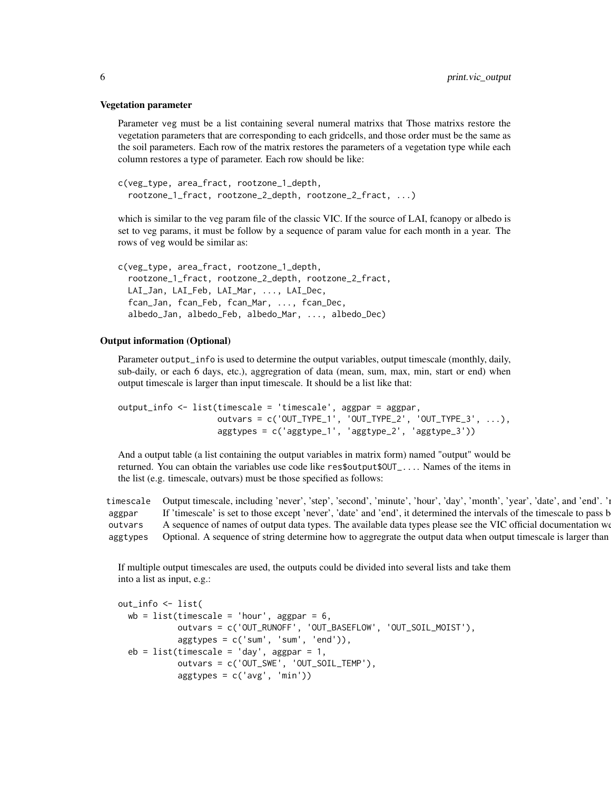#### Vegetation parameter

Parameter veg must be a list containing several numeral matrixs that Those matrixs restore the vegetation parameters that are corresponding to each gridcells, and those order must be the same as the soil parameters. Each row of the matrix restores the parameters of a vegetation type while each column restores a type of parameter. Each row should be like:

```
c(veg_type, area_fract, rootzone_1_depth,
 rootzone_1_fract, rootzone_2_depth, rootzone_2_fract, ...)
```
which is similar to the veg param file of the classic VIC. If the source of LAI, fcanopy or albedo is set to veg params, it must be follow by a sequence of param value for each month in a year. The rows of veg would be similar as:

```
c(veg_type, area_fract, rootzone_1_depth,
 rootzone_1_fract, rootzone_2_depth, rootzone_2_fract,
 LAI_Jan, LAI_Feb, LAI_Mar, ..., LAI_Dec,
 fcan_Jan, fcan_Feb, fcan_Mar, ..., fcan_Dec,
 albedo_Jan, albedo_Feb, albedo_Mar, ..., albedo_Dec)
```
#### Output information (Optional)

Parameter output\_info is used to determine the output variables, output timescale (monthly, daily, sub-daily, or each 6 days, etc.), aggregration of data (mean, sum, max, min, start or end) when output timescale is larger than input timescale. It should be a list like that:

```
output_info <- list(timescale = 'timescale', aggpar = aggpar,
                   outvars = c('OUT_TYPE_1', 'OUT_TYPE_2', 'OUT_TYPE_3', ...),aggtypes = c('aggtype_1', 'aggtype_2', 'aggtype_3'))
```
And a output table (a list containing the output variables in matrix form) named "output" would be returned. You can obtain the variables use code like res\$output\$OUT\_.... Names of the items in the list (e.g. timescale, outvars) must be those specified as follows:

timescale Output timescale, including 'never', 'step', 'second', 'minute', 'hour', 'day', 'month', 'year', 'date', and 'end'. 'i aggpar If 'timescale' is set to those except 'never', 'date' and 'end', it determined the intervals of the timescale to pass b outvars A sequence of names of output data types. The available data types please see the VIC official documentation we aggtypes Optional. A sequence of string determine how to aggregrate the output data when output timescale is larger than

If multiple output timescales are used, the outputs could be divided into several lists and take them into a list as input, e.g.:

```
out_info <- list(
  wb = list(timescale = 'hour', aggregation = 6,outvars = c('OUT_RUNOFF', 'OUT_BASEFLOW', 'OUT_SOIL_MOIST'),
            aggtypes = c('sum', 'sum', 'end')),
  eb = list(timescale = 'day', aggpar = 1,outvars = c('OUT_SWE', 'OUT_SOIL_TEMP'),
            aggtypes = c('avg', 'min'))
```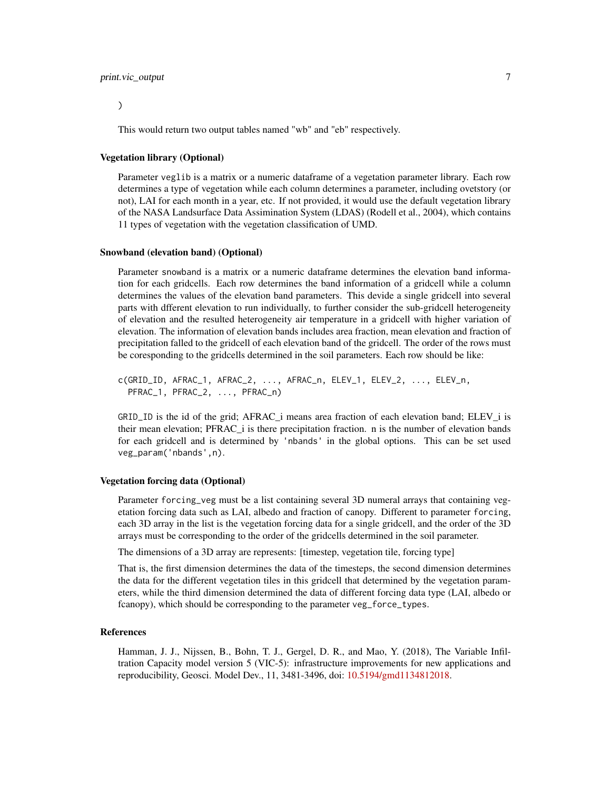#### print.vic\_output 7

)

This would return two output tables named "wb" and "eb" respectively.

#### Vegetation library (Optional)

Parameter veglib is a matrix or a numeric dataframe of a vegetation parameter library. Each row determines a type of vegetation while each column determines a parameter, including ovetstory (or not), LAI for each month in a year, etc. If not provided, it would use the default vegetation library of the NASA Landsurface Data Assimination System (LDAS) (Rodell et al., 2004), which contains 11 types of vegetation with the vegetation classification of UMD.

#### Snowband (elevation band) (Optional)

Parameter snowband is a matrix or a numeric dataframe determines the elevation band information for each gridcells. Each row determines the band information of a gridcell while a column determines the values of the elevation band parameters. This devide a single gridcell into several parts with dfferent elevation to run individually, to further consider the sub-gridcell heterogeneity of elevation and the resulted heterogeneity air temperature in a gridcell with higher variation of elevation. The information of elevation bands includes area fraction, mean elevation and fraction of precipitation falled to the gridcell of each elevation band of the gridcell. The order of the rows must be coresponding to the gridcells determined in the soil parameters. Each row should be like:

c(GRID\_ID, AFRAC\_1, AFRAC\_2, ..., AFRAC\_n, ELEV\_1, ELEV\_2, ..., ELEV\_n, PFRAC\_1, PFRAC\_2, ..., PFRAC\_n)

GRID\_ID is the id of the grid; AFRAC\_i means area fraction of each elevation band; ELEV\_i is their mean elevation; PFRAC\_i is there precipitation fraction. n is the number of elevation bands for each gridcell and is determined by 'nbands' in the global options. This can be set used veg\_param('nbands',n).

#### Vegetation forcing data (Optional)

Parameter forcing\_veg must be a list containing several 3D numeral arrays that containing vegetation forcing data such as LAI, albedo and fraction of canopy. Different to parameter forcing, each 3D array in the list is the vegetation forcing data for a single gridcell, and the order of the 3D arrays must be corresponding to the order of the gridcells determined in the soil parameter.

The dimensions of a 3D array are represents: [timestep, vegetation tile, forcing type]

That is, the first dimension determines the data of the timesteps, the second dimension determines the data for the different vegetation tiles in this gridcell that determined by the vegetation parameters, while the third dimension determined the data of different forcing data type (LAI, albedo or fcanopy), which should be corresponding to the parameter veg\_force\_types.

#### References

Hamman, J. J., Nijssen, B., Bohn, T. J., Gergel, D. R., and Mao, Y. (2018), The Variable Infiltration Capacity model version 5 (VIC-5): infrastructure improvements for new applications and reproducibility, Geosci. Model Dev., 11, 3481-3496, doi: [10.5194/gmd1134812018.](https://doi.org/10.5194/gmd-11-3481-2018)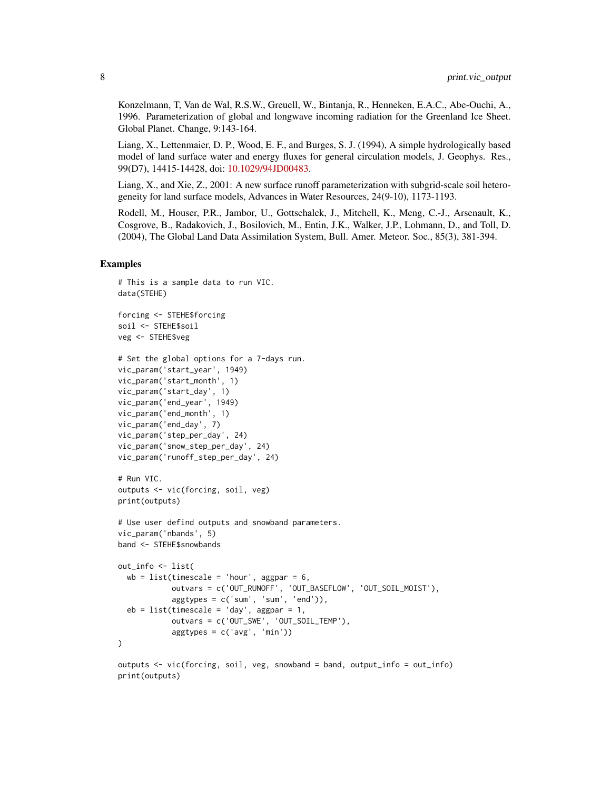Konzelmann, T, Van de Wal, R.S.W., Greuell, W., Bintanja, R., Henneken, E.A.C., Abe-Ouchi, A., 1996. Parameterization of global and longwave incoming radiation for the Greenland Ice Sheet. Global Planet. Change, 9:143-164.

Liang, X., Lettenmaier, D. P., Wood, E. F., and Burges, S. J. (1994), A simple hydrologically based model of land surface water and energy fluxes for general circulation models, J. Geophys. Res., 99(D7), 14415-14428, doi: [10.1029/94JD00483.](https://doi.org/10.1029/94JD00483)

Liang, X., and Xie, Z., 2001: A new surface runoff parameterization with subgrid-scale soil heterogeneity for land surface models, Advances in Water Resources, 24(9-10), 1173-1193.

Rodell, M., Houser, P.R., Jambor, U., Gottschalck, J., Mitchell, K., Meng, C.-J., Arsenault, K., Cosgrove, B., Radakovich, J., Bosilovich, M., Entin, J.K., Walker, J.P., Lohmann, D., and Toll, D. (2004), The Global Land Data Assimilation System, Bull. Amer. Meteor. Soc., 85(3), 381-394.

#### Examples

```
# This is a sample data to run VIC.
data(STEHE)
forcing <- STEHE$forcing
soil <- STEHE$soil
veg <- STEHE$veg
# Set the global options for a 7-days run.
vic_param('start_year', 1949)
vic_param('start_month', 1)
vic_param('start_day', 1)
vic_param('end_year', 1949)
vic_param('end_month', 1)
vic_param('end_day', 7)
vic_param('step_per_day', 24)
vic_param('snow_step_per_day', 24)
vic_param('runoff_step_per_day', 24)
# Run VIC.
outputs <- vic(forcing, soil, veg)
print(outputs)
# Use user defind outputs and snowband parameters.
vic_param('nbands', 5)
band <- STEHE$snowbands
out_info <- list(
 wb = list(timescale = 'hour', aggpar = 6,outvars = c('OUT_RUNOFF', 'OUT_BASEFLOW', 'OUT_SOIL_MOIST'),
            aggtypes = c('sum', 'sum', 'end')),
 eb = list(timescale = 'day', aggpar = 1,outvars = c('OUT_SWE', 'OUT_SOIL_TEMP'),
            aggtypes = c('avg', 'min')))
outputs <- vic(forcing, soil, veg, snowband = band, output_info = out_info)
print(outputs)
```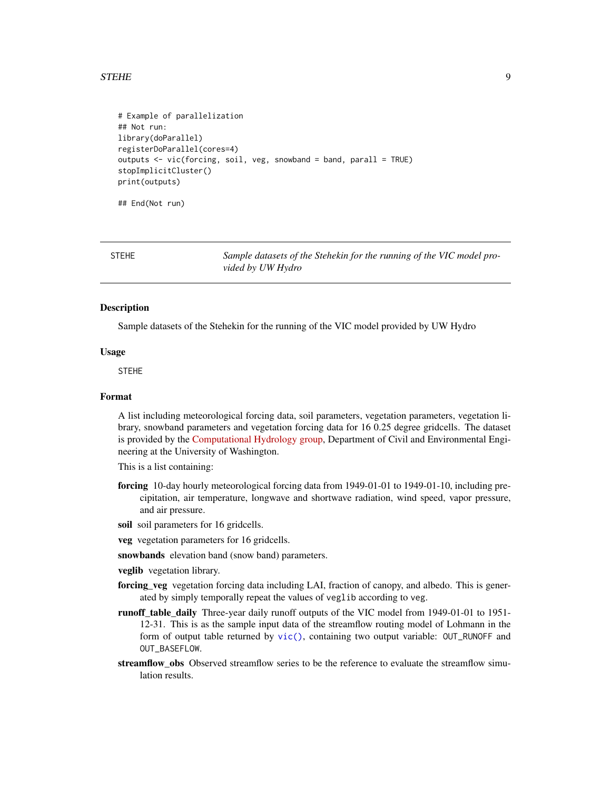#### <span id="page-8-0"></span>STEHE 9

```
# Example of parallelization
## Not run:
library(doParallel)
registerDoParallel(cores=4)
outputs <- vic(forcing, soil, veg, snowband = band, parall = TRUE)
stopImplicitCluster()
print(outputs)
```
## End(Not run)

STEHE *Sample datasets of the Stehekin for the running of the VIC model provided by UW Hydro*

#### Description

Sample datasets of the Stehekin for the running of the VIC model provided by UW Hydro

#### Usage

STEHE

#### Format

A list including meteorological forcing data, soil parameters, vegetation parameters, vegetation library, snowband parameters and vegetation forcing data for 16 0.25 degree gridcells. The dataset is provided by the [Computational Hydrology group,](http://uw-hydro.github.io/) Department of Civil and Environmental Engineering at the University of Washington.

This is a list containing:

- forcing 10-day hourly meteorological forcing data from 1949-01-01 to 1949-01-10, including precipitation, air temperature, longwave and shortwave radiation, wind speed, vapor pressure, and air pressure.
- soil soil parameters for 16 gridcells.
- veg vegetation parameters for 16 gridcells.
- snowbands elevation band (snow band) parameters.

veglib vegetation library.

- forcing\_veg vegetation forcing data including LAI, fraction of canopy, and albedo. This is generated by simply temporally repeat the values of veglib according to veg.
- runoff\_table\_daily Three-year daily runoff outputs of the VIC model from 1949-01-01 to 1951- 12-31. This is as the sample input data of the streamflow routing model of Lohmann in the form of output table returned by  $\text{vic}()$ , containing two output variable: OUT\_RUNOFF and OUT\_BASEFLOW.
- streamflow obs Observed streamflow series to be the reference to evaluate the streamflow simulation results.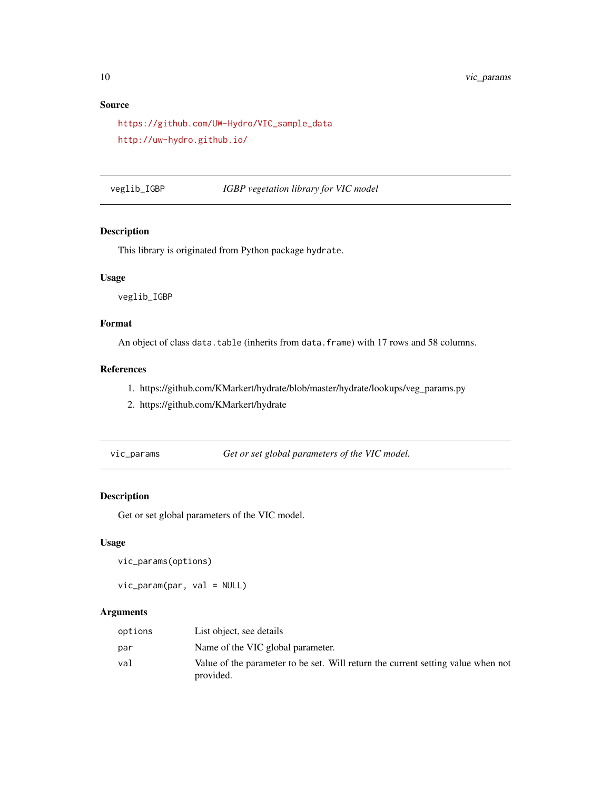#### Source

```
https://github.com/UW-Hydro/VIC_sample_data
http://uw-hydro.github.io/
```
veglib\_IGBP *IGBP vegetation library for VIC model*

#### Description

This library is originated from Python package hydrate.

#### Usage

veglib\_IGBP

#### Format

An object of class data.table (inherits from data.frame) with 17 rows and 58 columns.

#### References

- 1. https://github.com/KMarkert/hydrate/blob/master/hydrate/lookups/veg\_params.py
- 2. https://github.com/KMarkert/hydrate
- 

vic\_params *Get or set global parameters of the VIC model.*

#### Description

Get or set global parameters of the VIC model.

#### Usage

```
vic_params(options)
```
vic\_param(par, val = NULL)

#### Arguments

| options | List object, see details                                                                      |
|---------|-----------------------------------------------------------------------------------------------|
| par     | Name of the VIC global parameter.                                                             |
| val     | Value of the parameter to be set. Will return the current setting value when not<br>provided. |

<span id="page-9-0"></span>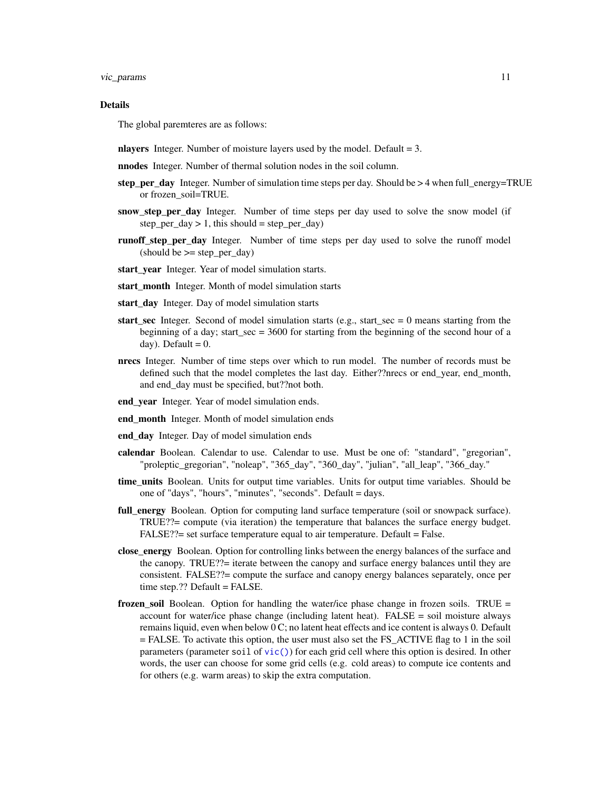<span id="page-10-0"></span>vic\_params 11

#### Details

The global paremteres are as follows:

- nlayers Integer. Number of moisture layers used by the model. Default  $= 3$ .
- nnodes Integer. Number of thermal solution nodes in the soil column.
- step\_per\_day Integer. Number of simulation time steps per day. Should be  $> 4$  when full\_energy=TRUE or frozen\_soil=TRUE.
- snow\_step\_per\_day Integer. Number of time steps per day used to solve the snow model (if  $step\_per\_day > 1$ , this should = step\_per\_day)
- runoff\_step\_per\_day Integer. Number of time steps per day used to solve the runoff model  $(\text{should be} >= step\_per\_day)$
- start\_year Integer. Year of model simulation starts.
- start month Integer. Month of model simulation starts
- start\_day Integer. Day of model simulation starts
- start sec Integer. Second of model simulation starts (e.g., start\_sec  $= 0$  means starting from the beginning of a day; start  $\sec = 3600$  for starting from the beginning of the second hour of a day). Default  $= 0$ .
- nrecs Integer. Number of time steps over which to run model. The number of records must be defined such that the model completes the last day. Either??nrecs or end\_year, end\_month, and end\_day must be specified, but??not both.
- end vear Integer. Year of model simulation ends.
- end month Integer. Month of model simulation ends
- end\_day Integer. Day of model simulation ends
- calendar Boolean. Calendar to use. Calendar to use. Must be one of: "standard", "gregorian", "proleptic\_gregorian", "noleap", "365\_day", "360\_day", "julian", "all\_leap", "366\_day."
- time units Boolean. Units for output time variables. Units for output time variables. Should be one of "days", "hours", "minutes", "seconds". Default = days.
- full\_energy Boolean. Option for computing land surface temperature (soil or snowpack surface). TRUE??= compute (via iteration) the temperature that balances the surface energy budget. FALSE??= set surface temperature equal to air temperature. Default = False.
- close\_energy Boolean. Option for controlling links between the energy balances of the surface and the canopy. TRUE??= iterate between the canopy and surface energy balances until they are consistent. FALSE??= compute the surface and canopy energy balances separately, once per time step.?? Default = FALSE.
- frozen\_soil Boolean. Option for handling the water/ice phase change in frozen soils. TRUE = account for water/ice phase change (including latent heat).  $FALSE = soil$  moisture always remains liquid, even when below 0 C; no latent heat effects and ice content is always 0. Default = FALSE. To activate this option, the user must also set the FS\_ACTIVE flag to 1 in the soil parameters (parameter soil of [vic\(\)](#page-3-1)) for each grid cell where this option is desired. In other words, the user can choose for some grid cells (e.g. cold areas) to compute ice contents and for others (e.g. warm areas) to skip the extra computation.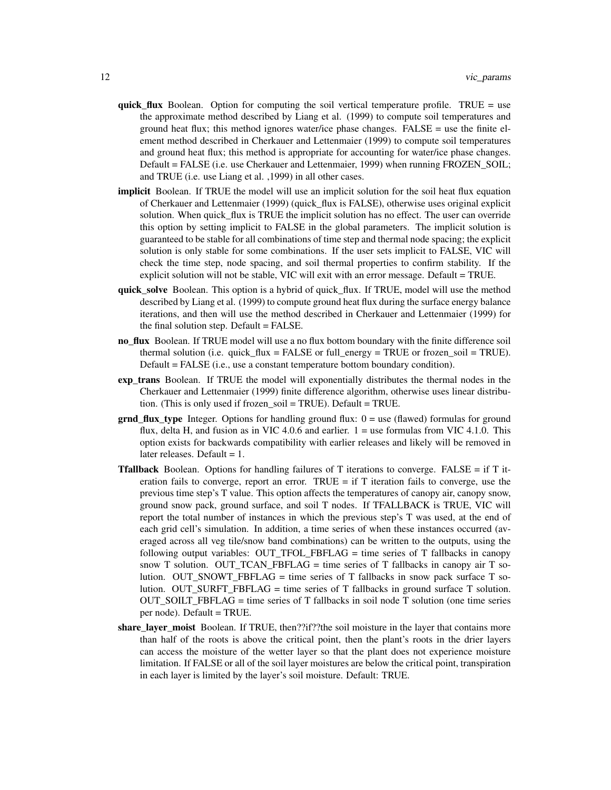- quick\_flux Boolean. Option for computing the soil vertical temperature profile. TRUE = use the approximate method described by Liang et al. (1999) to compute soil temperatures and ground heat flux; this method ignores water/ice phase changes. FALSE  $=$  use the finite element method described in Cherkauer and Lettenmaier (1999) to compute soil temperatures and ground heat flux; this method is appropriate for accounting for water/ice phase changes. Default = FALSE (i.e. use Cherkauer and Lettenmaier, 1999) when running FROZEN\_SOIL; and TRUE (i.e. use Liang et al. ,1999) in all other cases.
- implicit Boolean. If TRUE the model will use an implicit solution for the soil heat flux equation of Cherkauer and Lettenmaier (1999) (quick\_flux is FALSE), otherwise uses original explicit solution. When quick flux is TRUE the implicit solution has no effect. The user can override this option by setting implicit to FALSE in the global parameters. The implicit solution is guaranteed to be stable for all combinations of time step and thermal node spacing; the explicit solution is only stable for some combinations. If the user sets implicit to FALSE, VIC will check the time step, node spacing, and soil thermal properties to confirm stability. If the explicit solution will not be stable, VIC will exit with an error message. Default = TRUE.
- quick\_solve Boolean. This option is a hybrid of quick\_flux. If TRUE, model will use the method described by Liang et al. (1999) to compute ground heat flux during the surface energy balance iterations, and then will use the method described in Cherkauer and Lettenmaier (1999) for the final solution step. Default = FALSE.
- no\_flux Boolean. If TRUE model will use a no flux bottom boundary with the finite difference soil thermal solution (i.e. quick  $flux = FALSE$  or full energy = TRUE or frozen soil = TRUE). Default = FALSE (i.e., use a constant temperature bottom boundary condition).
- exp trans Boolean. If TRUE the model will exponentially distributes the thermal nodes in the Cherkauer and Lettenmaier (1999) finite difference algorithm, otherwise uses linear distribution. (This is only used if frozen\_soil = TRUE). Default = TRUE.
- $grad_flux_type$  Integer. Options for handling ground flux:  $0 = use$  (flawed) formulas for ground flux, delta H, and fusion as in VIC 4.0.6 and earlier.  $1 =$  use formulas from VIC 4.1.0. This option exists for backwards compatibility with earlier releases and likely will be removed in later releases. Default  $= 1$ .
- **Tfallback** Boolean. Options for handling failures of T iterations to converge. FALSE = if T iteration fails to converge, report an error. TRUE  $=$  if T iteration fails to converge, use the previous time step's T value. This option affects the temperatures of canopy air, canopy snow, ground snow pack, ground surface, and soil T nodes. If TFALLBACK is TRUE, VIC will report the total number of instances in which the previous step's T was used, at the end of each grid cell's simulation. In addition, a time series of when these instances occurred (averaged across all veg tile/snow band combinations) can be written to the outputs, using the following output variables: OUT\_TFOL\_FBFLAG = time series of T fallbacks in canopy snow T solution. OUT\_TCAN\_FBFLAG = time series of T fallbacks in canopy air T solution. OUT\_SNOWT\_FBFLAG = time series of T fallbacks in snow pack surface T solution. OUT SURFT FBFLAG = time series of T fallbacks in ground surface T solution. OUT\_SOILT\_FBFLAG = time series of T fallbacks in soil node T solution (one time series per node). Default = TRUE.
- share layer moist Boolean. If TRUE, then??if??the soil moisture in the layer that contains more than half of the roots is above the critical point, then the plant's roots in the drier layers can access the moisture of the wetter layer so that the plant does not experience moisture limitation. If FALSE or all of the soil layer moistures are below the critical point, transpiration in each layer is limited by the layer's soil moisture. Default: TRUE.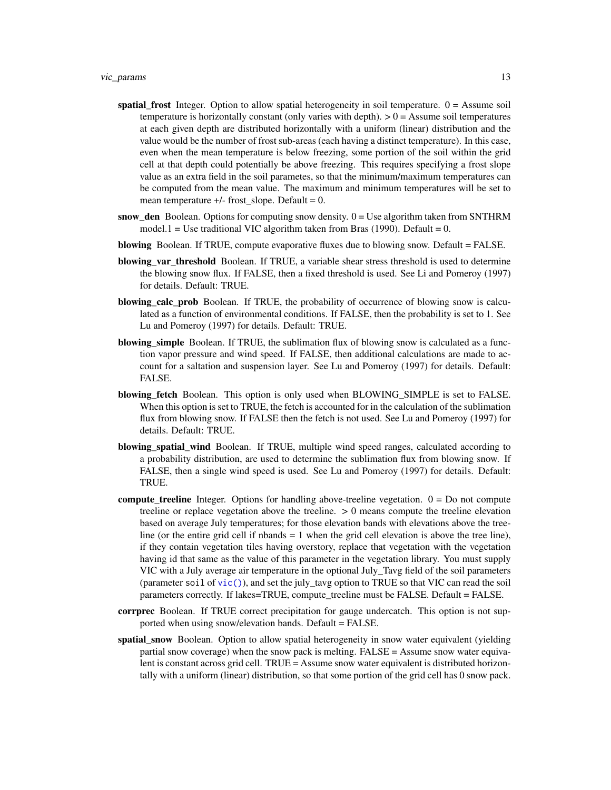- <span id="page-12-0"></span>spatial\_frost Integer. Option to allow spatial heterogeneity in soil temperature.  $0 =$ Assume soil temperature is horizontally constant (only varies with depth).  $> 0 =$  Assume soil temperatures at each given depth are distributed horizontally with a uniform (linear) distribution and the value would be the number of frost sub-areas (each having a distinct temperature). In this case, even when the mean temperature is below freezing, some portion of the soil within the grid cell at that depth could potentially be above freezing. This requires specifying a frost slope value as an extra field in the soil parametes, so that the minimum/maximum temperatures can be computed from the mean value. The maximum and minimum temperatures will be set to mean temperature  $+/-$  frost slope. Default = 0.
- $snow\_den$  Boolean. Options for computing snow density.  $0 = Use$  algorithm taken from SNTHRM model.1 = Use traditional VIC algorithm taken from Bras (1990). Default = 0.
- blowing Boolean. If TRUE, compute evaporative fluxes due to blowing snow. Default = FALSE.
- blowing\_var\_threshold Boolean. If TRUE, a variable shear stress threshold is used to determine the blowing snow flux. If FALSE, then a fixed threshold is used. See Li and Pomeroy (1997) for details. Default: TRUE.
- blowing\_calc\_prob Boolean. If TRUE, the probability of occurrence of blowing snow is calculated as a function of environmental conditions. If FALSE, then the probability is set to 1. See Lu and Pomeroy (1997) for details. Default: TRUE.
- blowing simple Boolean. If TRUE, the sublimation flux of blowing snow is calculated as a function vapor pressure and wind speed. If FALSE, then additional calculations are made to account for a saltation and suspension layer. See Lu and Pomeroy (1997) for details. Default: FALSE.
- blowing fetch Boolean. This option is only used when BLOWING SIMPLE is set to FALSE. When this option is set to TRUE, the fetch is accounted for in the calculation of the sublimation flux from blowing snow. If FALSE then the fetch is not used. See Lu and Pomeroy (1997) for details. Default: TRUE.
- blowing spatial wind Boolean. If TRUE, multiple wind speed ranges, calculated according to a probability distribution, are used to determine the sublimation flux from blowing snow. If FALSE, then a single wind speed is used. See Lu and Pomeroy (1997) for details. Default: TRUE.
- **compute\_treeline** Integer. Options for handling above-treeline vegetation.  $0 = Do$  not compute treeline or replace vegetation above the treeline.  $> 0$  means compute the treeline elevation based on average July temperatures; for those elevation bands with elevations above the treeline (or the entire grid cell if nbands  $= 1$  when the grid cell elevation is above the tree line), if they contain vegetation tiles having overstory, replace that vegetation with the vegetation having id that same as the value of this parameter in the vegetation library. You must supply VIC with a July average air temperature in the optional July\_Tavg field of the soil parameters (parameter soil of  $\text{vic}()$ ), and set the july\_tavg option to TRUE so that VIC can read the soil parameters correctly. If lakes=TRUE, compute treeline must be FALSE. Default = FALSE.
- corrprec Boolean. If TRUE correct precipitation for gauge undercatch. This option is not supported when using snow/elevation bands. Default = FALSE.
- spatial snow Boolean. Option to allow spatial heterogeneity in snow water equivalent (yielding partial snow coverage) when the snow pack is melting.  $FALSE = Assume$  snow water equivalent is constant across grid cell. TRUE = Assume snow water equivalent is distributed horizontally with a uniform (linear) distribution, so that some portion of the grid cell has 0 snow pack.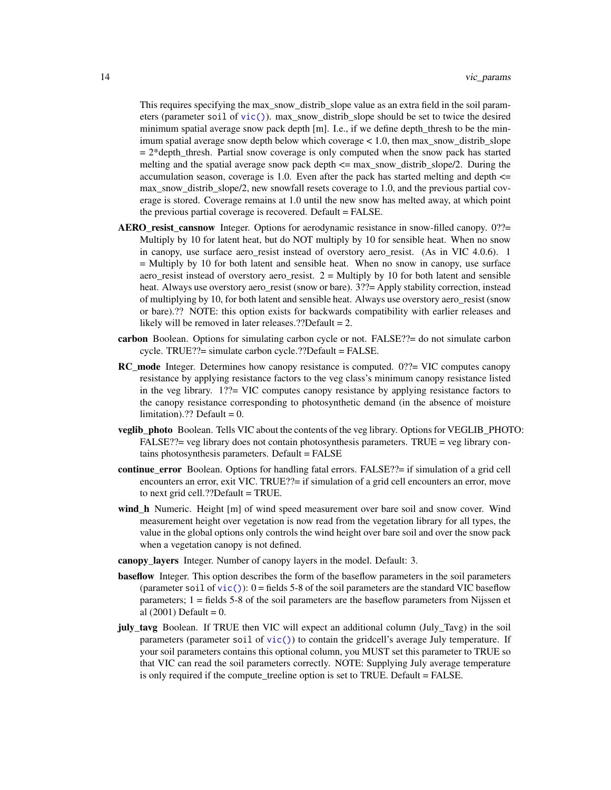This requires specifying the max\_snow\_distrib\_slope value as an extra field in the soil parameters (parameter soil of [vic\(\)](#page-3-1)). max\_snow\_distrib\_slope should be set to twice the desired minimum spatial average snow pack depth [m]. I.e., if we define depth\_thresh to be the minimum spatial average snow depth below which coverage < 1.0, then max\_snow\_distrib\_slope  $= 2*depth_{\text{th}}$  artial snow coverage is only computed when the snow pack has started melting and the spatial average snow pack depth <= max\_snow\_distrib\_slope/2. During the accumulation season, coverage is 1.0. Even after the pack has started melting and depth  $\leq$ max snow distrib slope/2, new snowfall resets coverage to 1.0, and the previous partial coverage is stored. Coverage remains at 1.0 until the new snow has melted away, at which point the previous partial coverage is recovered. Default = FALSE.

- AERO\_resist\_cansnow Integer. Options for aerodynamic resistance in snow-filled canopy. 0??= Multiply by 10 for latent heat, but do NOT multiply by 10 for sensible heat. When no snow in canopy, use surface aero\_resist instead of overstory aero\_resist. (As in VIC 4.0.6). 1 = Multiply by 10 for both latent and sensible heat. When no snow in canopy, use surface aero\_resist instead of overstory aero\_resist.  $2 =$  Multiply by 10 for both latent and sensible heat. Always use overstory aero\_resist (snow or bare). 3??= Apply stability correction, instead of multiplying by 10, for both latent and sensible heat. Always use overstory aero\_resist (snow or bare).?? NOTE: this option exists for backwards compatibility with earlier releases and likely will be removed in later releases.??Default  $= 2$ .
- carbon Boolean. Options for simulating carbon cycle or not. FALSE??= do not simulate carbon cycle. TRUE??= simulate carbon cycle.??Default = FALSE.
- RC\_mode Integer. Determines how canopy resistance is computed. 0??= VIC computes canopy resistance by applying resistance factors to the veg class's minimum canopy resistance listed in the veg library. 1??= VIC computes canopy resistance by applying resistance factors to the canopy resistance corresponding to photosynthetic demand (in the absence of moisture limitation).?? Default =  $0$ .
- veglib\_photo Boolean. Tells VIC about the contents of the veg library. Options for VEGLIB\_PHOTO: FALSE??= veg library does not contain photosynthesis parameters. TRUE = veg library contains photosynthesis parameters. Default = FALSE
- continue\_error Boolean. Options for handling fatal errors. FALSE??= if simulation of a grid cell encounters an error, exit VIC. TRUE??= if simulation of a grid cell encounters an error, move to next grid cell.??Default = TRUE.
- wind\_h Numeric. Height [m] of wind speed measurement over bare soil and snow cover. Wind measurement height over vegetation is now read from the vegetation library for all types, the value in the global options only controls the wind height over bare soil and over the snow pack when a vegetation canopy is not defined.
- canopy\_layers Integer. Number of canopy layers in the model. Default: 3.
- **baseflow** Integer. This option describes the form of the baseflow parameters in the soil parameters (parameter soil of  $\text{vic}()$ ): 0 = fields 5-8 of the soil parameters are the standard VIC baseflow parameters; 1 = fields 5-8 of the soil parameters are the baseflow parameters from Nijssen et al  $(2001)$  Default = 0.
- july tavg Boolean. If TRUE then VIC will expect an additional column (July\_Tavg) in the soil parameters (parameter soil of  $\text{vic}()$ ) to contain the gridcell's average July temperature. If your soil parameters contains this optional column, you MUST set this parameter to TRUE so that VIC can read the soil parameters correctly. NOTE: Supplying July average temperature is only required if the compute\_treeline option is set to TRUE. Default = FALSE.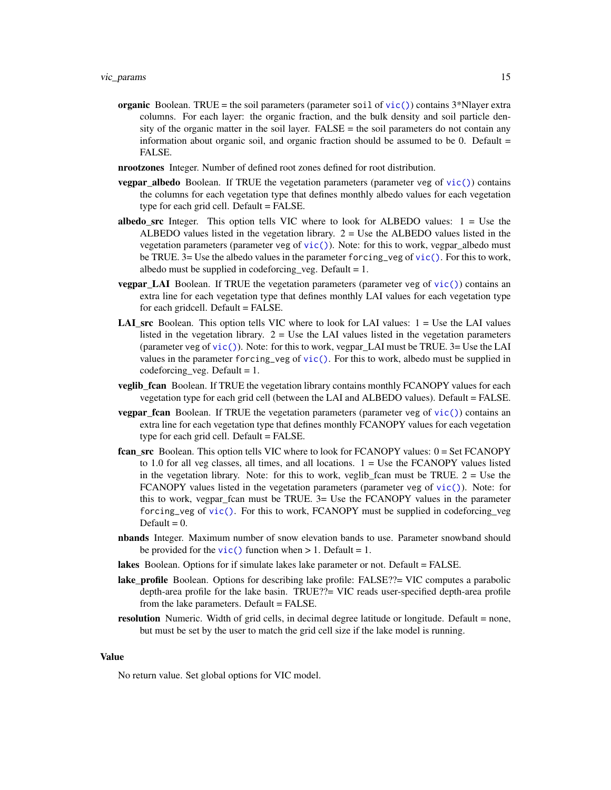- <span id="page-14-0"></span>organic Boolean. TRUE = the soil parameters (parameter soil of  $\text{vic}()$ ) contains  $3^*$ Nlayer extra columns. For each layer: the organic fraction, and the bulk density and soil particle density of the organic matter in the soil layer.  $FALSE =$  the soil parameters do not contain any information about organic soil, and organic fraction should be assumed to be 0. Default  $=$ FALSE.
- nrootzones Integer. Number of defined root zones defined for root distribution.
- vegpar\_albedo Boolean. If TRUE the vegetation parameters (parameter veg of [vic\(\)](#page-3-1)) contains the columns for each vegetation type that defines monthly albedo values for each vegetation type for each grid cell. Default = FALSE.
- albedo\_src Integer. This option tells VIC where to look for ALBEDO values:  $1 =$  Use the ALBEDO values listed in the vegetation library.  $2 =$  Use the ALBEDO values listed in the vegetation parameters (parameter veg of [vic\(\)](#page-3-1)). Note: for this to work, vegpar\_albedo must be TRUE.  $3=$  Use the albedo values in the parameter forcing veg of [vic\(\)](#page-3-1). For this to work, albedo must be supplied in codeforcing veg. Default  $= 1$ .
- **vegpar\_LAI** Boolean. If TRUE the vegetation parameters (parameter veg of  $\text{vic}()$ ) contains an extra line for each vegetation type that defines monthly LAI values for each vegetation type for each gridcell. Default = FALSE.
- **LAI\_src** Boolean. This option tells VIC where to look for LAI values:  $1 =$  Use the LAI values listed in the vegetation library.  $2 =$  Use the LAI values listed in the vegetation parameters (parameter veg of  $\text{vic}()$ ). Note: for this to work, vegpar LAI must be TRUE. 3= Use the LAI values in the parameter forcing\_veg of [vic\(\)](#page-3-1). For this to work, albedo must be supplied in codeforcing veg. Default  $= 1$ .
- veglib\_fcan Boolean. If TRUE the vegetation library contains monthly FCANOPY values for each vegetation type for each grid cell (between the LAI and ALBEDO values). Default = FALSE.
- **vegpar fcan** Boolean. If TRUE the vegetation parameters (parameter veg of [vic\(\)](#page-3-1)) contains an extra line for each vegetation type that defines monthly FCANOPY values for each vegetation type for each grid cell. Default = FALSE.
- fcan\_src Boolean. This option tells VIC where to look for FCANOPY values: 0 = Set FCANOPY to 1.0 for all veg classes, all times, and all locations.  $1 =$  Use the FCANOPY values listed in the vegetation library. Note: for this to work, veglib\_fcan must be TRUE.  $2 =$  Use the FCANOPY values listed in the vegetation parameters (parameter veg of [vic\(\)](#page-3-1)). Note: for this to work, vegpar\_fcan must be TRUE. 3= Use the FCANOPY values in the parameter forcing\_veg of [vic\(\)](#page-3-1). For this to work, FCANOPY must be supplied in codeforcing\_veg Default  $= 0$ .
- nbands Integer. Maximum number of snow elevation bands to use. Parameter snowband should be provided for the [vic\(\)](#page-3-1) function when  $> 1$ . Default = 1.
- lakes Boolean. Options for if simulate lakes lake parameter or not. Default = FALSE.
- lake\_profile Boolean. Options for describing lake profile: FALSE??= VIC computes a parabolic depth-area profile for the lake basin. TRUE??= VIC reads user-specified depth-area profile from the lake parameters. Default = FALSE.
- **resolution** Numeric. Width of grid cells, in decimal degree latitude or longitude. Default = none, but must be set by the user to match the grid cell size if the lake model is running.

#### Value

No return value. Set global options for VIC model.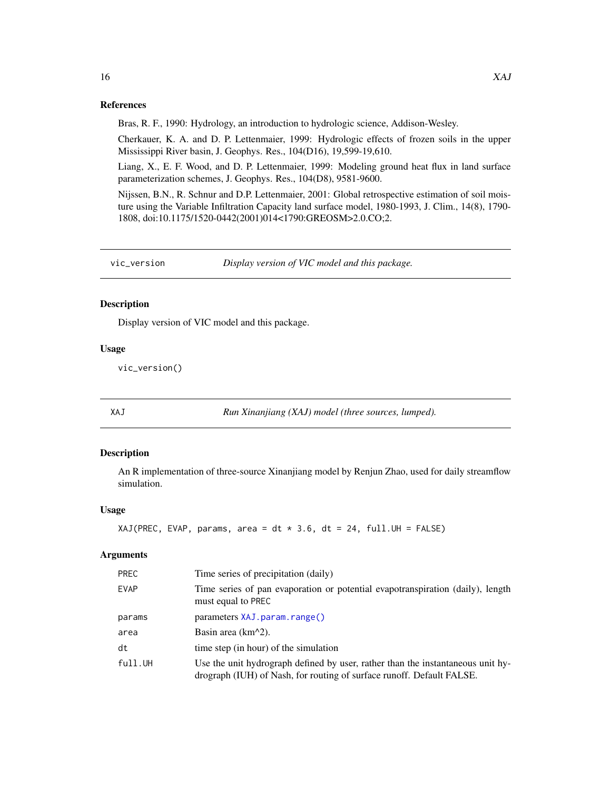#### References

Bras, R. F., 1990: Hydrology, an introduction to hydrologic science, Addison-Wesley.

Cherkauer, K. A. and D. P. Lettenmaier, 1999: Hydrologic effects of frozen soils in the upper Mississippi River basin, J. Geophys. Res., 104(D16), 19,599-19,610.

Liang, X., E. F. Wood, and D. P. Lettenmaier, 1999: Modeling ground heat flux in land surface parameterization schemes, J. Geophys. Res., 104(D8), 9581-9600.

Nijssen, B.N., R. Schnur and D.P. Lettenmaier, 2001: Global retrospective estimation of soil moisture using the Variable Infiltration Capacity land surface model, 1980-1993, J. Clim., 14(8), 1790- 1808, doi:10.1175/1520-0442(2001)014<1790:GREOSM>2.0.CO;2.

vic\_version *Display version of VIC model and this package.*

#### Description

Display version of VIC model and this package.

#### Usage

vic\_version()

XAJ *Run Xinanjiang (XAJ) model (three sources, lumped).*

#### Description

An R implementation of three-source Xinanjiang model by Renjun Zhao, used for daily streamflow simulation.

#### Usage

```
XAJ(PREC, EVAP, params, area = dt * 3.6, dt = 24, full.UH = FALSE)
```
#### Arguments

| <b>PREC</b> | Time series of precipitation (daily)                                                                                                                     |
|-------------|----------------------------------------------------------------------------------------------------------------------------------------------------------|
| <b>EVAP</b> | Time series of pan evaporation or potential evapotranspiration (daily), length<br>must equal to PREC                                                     |
| params      | parameters XAJ.param.range()                                                                                                                             |
| area        | Basin area $(km^2)$ .                                                                                                                                    |
| dt          | time step (in hour) of the simulation                                                                                                                    |
| full.UH     | Use the unit hydrograph defined by user, rather than the instantaneous unit hy-<br>drograph (IUH) of Nash, for routing of surface runoff. Default FALSE. |

<span id="page-15-0"></span>16 XAJ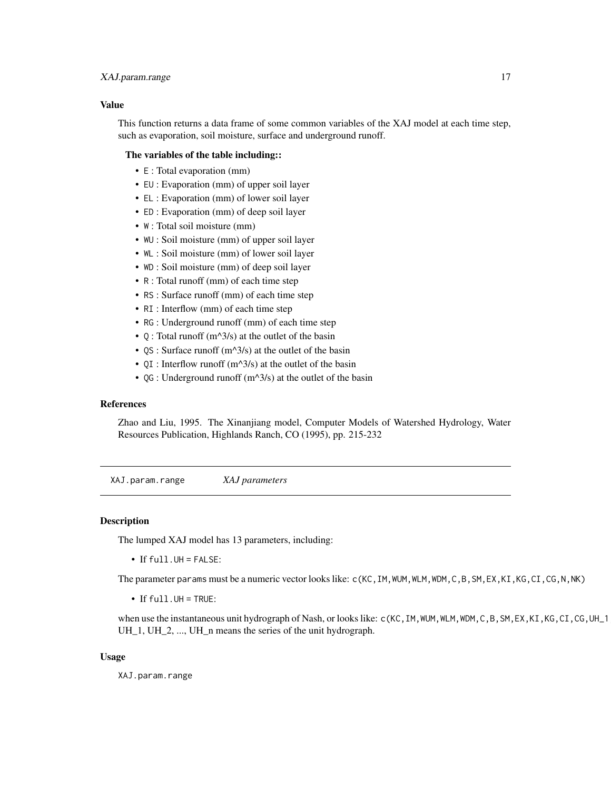#### <span id="page-16-0"></span>XAJ.param.range 17

#### Value

This function returns a data frame of some common variables of the XAJ model at each time step, such as evaporation, soil moisture, surface and underground runoff.

#### The variables of the table including::

- E : Total evaporation (mm)
- EU : Evaporation (mm) of upper soil layer
- EL : Evaporation (mm) of lower soil layer
- ED : Evaporation (mm) of deep soil layer
- W : Total soil moisture (mm)
- WU : Soil moisture (mm) of upper soil layer
- WL : Soil moisture (mm) of lower soil layer
- WD : Soil moisture (mm) of deep soil layer
- R : Total runoff (mm) of each time step
- RS : Surface runoff (mm) of each time step
- RI : Interflow (mm) of each time step
- RG : Underground runoff (mm) of each time step
- $Q$ : Total runoff (m^3/s) at the outlet of the basin
- $OS: Surface$  runoff  $(m^2/3/s)$  at the outlet of the basin
- QI : Interflow runoff (m^3/s) at the outlet of the basin
- QG : Underground runoff  $(m^2/3/s)$  at the outlet of the basin

#### **References**

Zhao and Liu, 1995. The Xinanjiang model, Computer Models of Watershed Hydrology, Water Resources Publication, Highlands Ranch, CO (1995), pp. 215-232

<span id="page-16-1"></span>XAJ.param.range *XAJ parameters*

#### **Description**

The lumped XAJ model has 13 parameters, including:

• If full.UH = FALSE:

The parameter params must be a numeric vector looks like: c(KC, IM, WUM, WLM, WDM, C, B, SM, EX, KI, KG, CI, CG, N, NK)

• If full.UH = TRUE:

when use the instantaneous unit hydrograph of Nash, or looks like: c(KC, IM, WUM, WLM, WDM, C, B, SM, EX, KI, KG, CI, CG, UH\_1 UH\_1, UH\_2, ..., UH\_n means the series of the unit hydrograph.

#### Usage

XAJ.param.range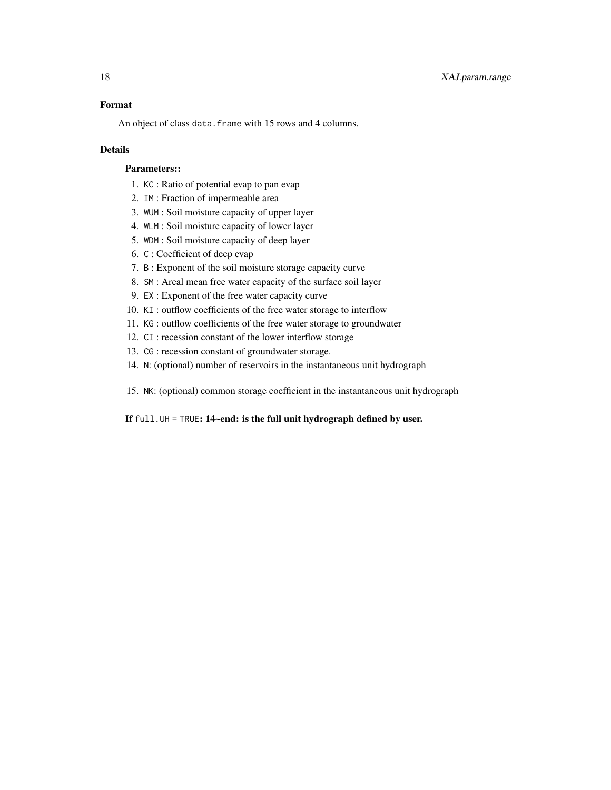#### Format

An object of class data. frame with 15 rows and 4 columns.

#### Details

#### Parameters::

- 1. KC : Ratio of potential evap to pan evap
- 2. IM : Fraction of impermeable area
- 3. WUM : Soil moisture capacity of upper layer
- 4. WLM : Soil moisture capacity of lower layer
- 5. WDM : Soil moisture capacity of deep layer
- 6. C : Coefficient of deep evap
- 7. B : Exponent of the soil moisture storage capacity curve
- 8. SM : Areal mean free water capacity of the surface soil layer
- 9. EX : Exponent of the free water capacity curve
- 10. KI : outflow coefficients of the free water storage to interflow
- 11. KG : outflow coefficients of the free water storage to groundwater
- 12. CI : recession constant of the lower interflow storage
- 13. CG : recession constant of groundwater storage.
- 14. N: (optional) number of reservoirs in the instantaneous unit hydrograph
- 15. NK: (optional) common storage coefficient in the instantaneous unit hydrograph

#### If full.UH = TRUE: 14~end: is the full unit hydrograph defined by user.